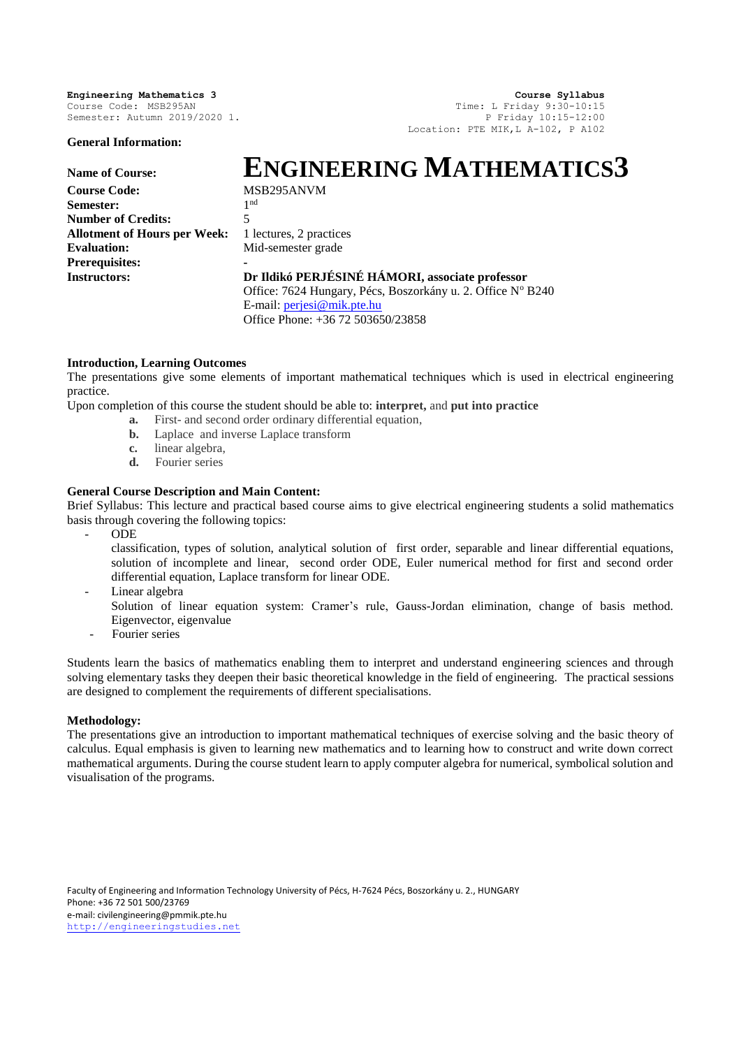**General Information:**

**Engineering Mathematics 3 Course Syllabus**<br>Course Code: MSB295AN **Course Code: MSB295AN Time:** L Friday 9:30-10:15 Time: L Friday  $9:30-10:15$ Semester: Autumn 2019/2020 1. P Friday 10:15-12:00 Location: PTE MIK,L A-102, P A102

# **Name of Course: ENGINEERING MATHEMATICS3**

**Course Code:** MSB295ANVM Semester: **Number of Credits:** 5 Allotment of Hours per Week: 1 lectures, 2 practices **Evaluation:** Mid-semester grade **Prerequisites: -**

1<sup>nd</sup>

**Instructors: Dr Ildikó PERJÉSINÉ HÁMORI, associate professor** Office: 7624 Hungary, Pécs, Boszorkány u. 2. Office Nº B240

E-mail: [perjesi@mik.pte.hu](mailto:perjesi@mik.pte.hu) Office Phone: +36 72 503650/23858

# **Introduction, Learning Outcomes**

The presentations give some elements of important mathematical techniques which is used in electrical engineering practice.

Upon completion of this course the student should be able to: **interpret,** and **put into practice**

- **a.** First- and second order ordinary differential equation,
- **b.** Laplace and inverse Laplace transform
- **c.** linear algebra,
- **d.** Fourier series

# **General Course Description and Main Content:**

Brief Syllabus: This lecture and practical based course aims to give electrical engineering students a solid mathematics basis through covering the following topics:

- ODE

classification, types of solution, analytical solution of first order, separable and linear differential equations, solution of incomplete and linear, second order ODE, Euler numerical method for first and second order differential equation, Laplace transform for linear ODE.

Linear algebra

- Solution of linear equation system: Cramer's rule, Gauss-Jordan elimination, change of basis method. Eigenvector, eigenvalue
- Fourier series

Students learn the basics of mathematics enabling them to interpret and understand engineering sciences and through solving elementary tasks they deepen their basic theoretical knowledge in the field of engineering. The practical sessions are designed to complement the requirements of different specialisations.

## **Methodology:**

The presentations give an introduction to important mathematical techniques of exercise solving and the basic theory of calculus. Equal emphasis is given to learning new mathematics and to learning how to construct and write down correct mathematical arguments. During the course student learn to apply computer algebra for numerical, symbolical solution and visualisation of the programs.